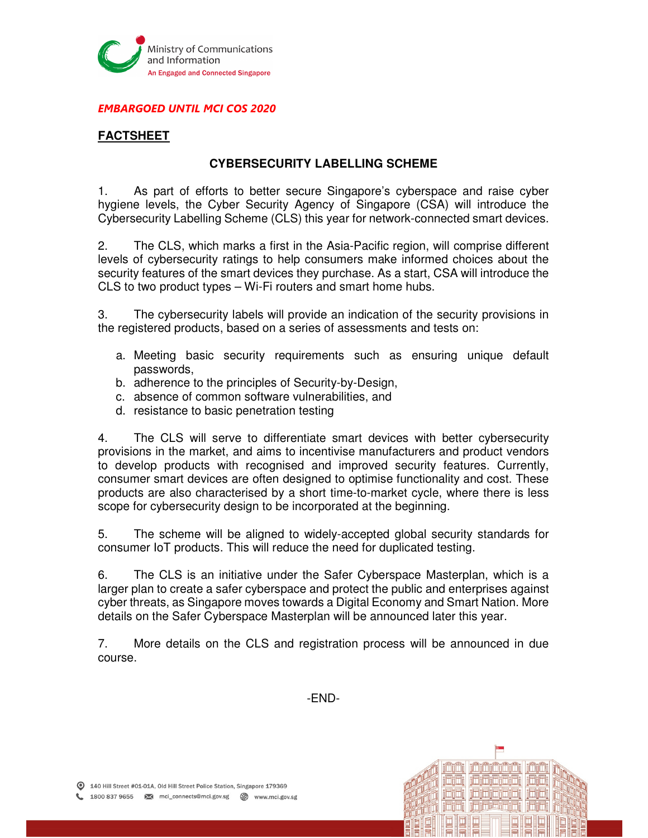

### EMBARGOED UNTIL MCI COS 2020

# **FACTSHEET**

# **CYBERSECURITY LABELLING SCHEME**

1. As part of efforts to better secure Singapore's cyberspace and raise cyber hygiene levels, the Cyber Security Agency of Singapore (CSA) will introduce the Cybersecurity Labelling Scheme (CLS) this year for network-connected smart devices.

2. The CLS, which marks a first in the Asia-Pacific region, will comprise different levels of cybersecurity ratings to help consumers make informed choices about the security features of the smart devices they purchase. As a start, CSA will introduce the CLS to two product types – Wi-Fi routers and smart home hubs.

3. The cybersecurity labels will provide an indication of the security provisions in the registered products, based on a series of assessments and tests on:

- a. Meeting basic security requirements such as ensuring unique default passwords,
- b. adherence to the principles of Security-by-Design,
- c. absence of common software vulnerabilities, and
- d. resistance to basic penetration testing

4. The CLS will serve to differentiate smart devices with better cybersecurity provisions in the market, and aims to incentivise manufacturers and product vendors to develop products with recognised and improved security features. Currently, consumer smart devices are often designed to optimise functionality and cost. These products are also characterised by a short time-to-market cycle, where there is less scope for cybersecurity design to be incorporated at the beginning.

5. The scheme will be aligned to widely-accepted global security standards for consumer IoT products. This will reduce the need for duplicated testing.

6. The CLS is an initiative under the Safer Cyberspace Masterplan, which is a larger plan to create a safer cyberspace and protect the public and enterprises against cyber threats, as Singapore moves towards a Digital Economy and Smart Nation. More details on the Safer Cyberspace Masterplan will be announced later this year.

7. More details on the CLS and registration process will be announced in due course.

-END-